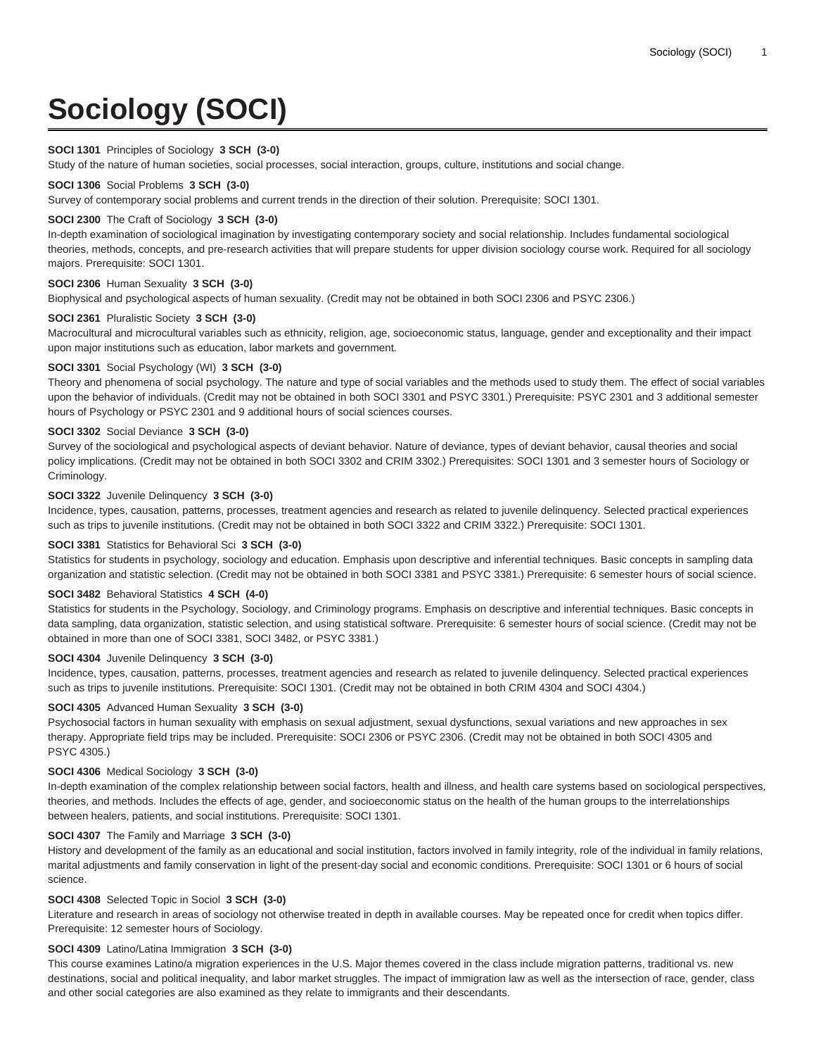# **Sociology (SOCI)**

## **SOCI 1301** Principles of Sociology **3 SCH (3-0)**

Study of the nature of human societies, social processes, social interaction, groups, culture, institutions and social change.

## **SOCI 1306** Social Problems **3 SCH (3-0)**

Survey of contemporary social problems and current trends in the direction of their solution. Prerequisite: SOCI 1301.

#### **SOCI 2300** The Craft of Sociology **3 SCH (3-0)**

In-depth examination of sociological imagination by investigating contemporary society and social relationship. Includes fundamental sociological theories, methods, concepts, and pre-research activities that will prepare students for upper division sociology course work. Required for all sociology majors. Prerequisite: SOCI 1301.

## **SOCI 2306** Human Sexuality **3 SCH (3-0)**

Biophysical and psychological aspects of human sexuality. (Credit may not be obtained in both SOCI 2306 and PSYC 2306.)

#### **SOCI 2361** Pluralistic Society **3 SCH (3-0)**

Macrocultural and microcultural variables such as ethnicity, religion, age, socioeconomic status, language, gender and exceptionality and their impact upon major institutions such as education, labor markets and government.

# **SOCI 3301** Social Psychology (WI) **3 SCH (3-0)**

Theory and phenomena of social psychology. The nature and type of social variables and the methods used to study them. The effect of social variables upon the behavior of individuals. (Credit may not be obtained in both SOCI 3301 and PSYC 3301.) Prerequisite: PSYC 2301 and 3 additional semester hours of Psychology or PSYC 2301 and 9 additional hours of social sciences courses.

## **SOCI 3302** Social Deviance **3 SCH (3-0)**

Survey of the sociological and psychological aspects of deviant behavior. Nature of deviance, types of deviant behavior, causal theories and social policy implications. (Credit may not be obtained in both SOCI 3302 and CRIM 3302.) Prerequisites: SOCI 1301 and 3 semester hours of Sociology or Criminology.

#### **SOCI 3322** Juvenile Delinquency **3 SCH (3-0)**

Incidence, types, causation, patterns, processes, treatment agencies and research as related to juvenile delinquency. Selected practical experiences such as trips to juvenile institutions. (Credit may not be obtained in both SOCI 3322 and CRIM 3322.) Prerequisite: SOCI 1301.

#### **SOCI 3381** Statistics for Behavioral Sci **3 SCH (3-0)**

Statistics for students in psychology, sociology and education. Emphasis upon descriptive and inferential techniques. Basic concepts in sampling data organization and statistic selection. (Credit may not be obtained in both SOCI 3381 and PSYC 3381.) Prerequisite: 6 semester hours of social science.

# **SOCI 3482** Behavioral Statistics **4 SCH (4-0)**

Statistics for students in the Psychology, Sociology, and Criminology programs. Emphasis on descriptive and inferential techniques. Basic concepts in data sampling, data organization, statistic selection, and using statistical software. Prerequisite: 6 semester hours of social science. (Credit may not be obtained in more than one of SOCI 3381, SOCI 3482, or PSYC 3381.)

# **SOCI 4304** Juvenile Delinquency **3 SCH (3-0)**

Incidence, types, causation, patterns, processes, treatment agencies and research as related to juvenile delinquency. Selected practical experiences such as trips to juvenile institutions. Prerequisite: SOCI 1301. (Credit may not be obtained in both CRIM 4304 and SOCI 4304.)

#### **SOCI 4305** Advanced Human Sexuality **3 SCH (3-0)**

Psychosocial factors in human sexuality with emphasis on sexual adjustment, sexual dysfunctions, sexual variations and new approaches in sex therapy. Appropriate field trips may be included. Prerequisite: SOCI 2306 or PSYC 2306. (Credit may not be obtained in both SOCI 4305 and PSYC 4305.)

#### **SOCI 4306** Medical Sociology **3 SCH (3-0)**

In-depth examination of the complex relationship between social factors, health and illness, and health care systems based on sociological perspectives, theories, and methods. Includes the effects of age, gender, and socioeconomic status on the health of the human groups to the interrelationships between healers, patients, and social institutions. Prerequisite: SOCI 1301.

# **SOCI 4307** The Family and Marriage **3 SCH (3-0)**

History and development of the family as an educational and social institution, factors involved in family integrity, role of the individual in family relations, marital adjustments and family conservation in light of the present-day social and economic conditions. Prerequisite: SOCI 1301 or 6 hours of social science.

#### **SOCI 4308** Selected Topic in Sociol **3 SCH (3-0)**

Literature and research in areas of sociology not otherwise treated in depth in available courses. May be repeated once for credit when topics differ. Prerequisite: 12 semester hours of Sociology.

#### **SOCI 4309** Latino/Latina Immigration **3 SCH (3-0)**

This course examines Latino/a migration experiences in the U.S. Major themes covered in the class include migration patterns, traditional vs. new destinations, social and political inequality, and labor market struggles. The impact of immigration law as well as the intersection of race, gender, class and other social categories are also examined as they relate to immigrants and their descendants.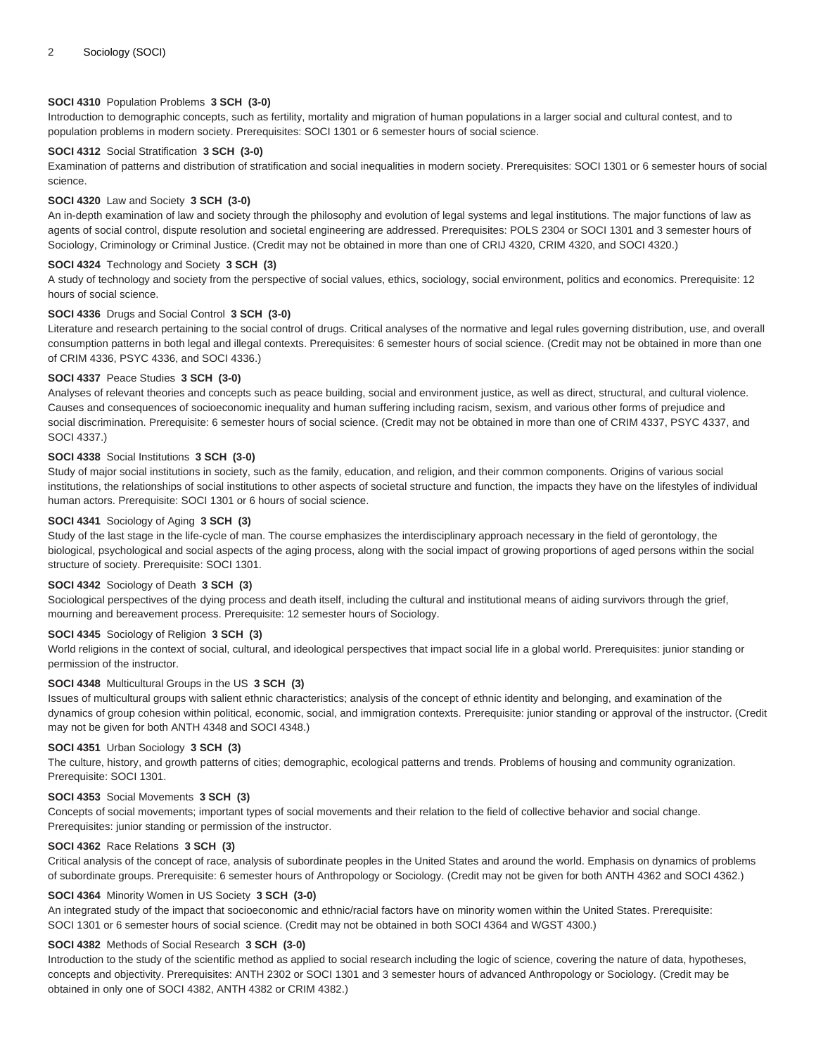# **SOCI 4310** Population Problems **3 SCH (3-0)**

Introduction to demographic concepts, such as fertility, mortality and migration of human populations in a larger social and cultural contest, and to population problems in modern society. Prerequisites: SOCI 1301 or 6 semester hours of social science.

## **SOCI 4312** Social Stratification **3 SCH (3-0)**

Examination of patterns and distribution of stratification and social inequalities in modern society. Prerequisites: SOCI 1301 or 6 semester hours of social science.

### **SOCI 4320** Law and Society **3 SCH (3-0)**

An in-depth examination of law and society through the philosophy and evolution of legal systems and legal institutions. The major functions of law as agents of social control, dispute resolution and societal engineering are addressed. Prerequisites: POLS 2304 or SOCI 1301 and 3 semester hours of Sociology, Criminology or Criminal Justice. (Credit may not be obtained in more than one of CRIJ 4320, CRIM 4320, and SOCI 4320.)

## **SOCI 4324** Technology and Society **3 SCH (3)**

A study of technology and society from the perspective of social values, ethics, sociology, social environment, politics and economics. Prerequisite: 12 hours of social science.

### **SOCI 4336** Drugs and Social Control **3 SCH (3-0)**

Literature and research pertaining to the social control of drugs. Critical analyses of the normative and legal rules governing distribution, use, and overall consumption patterns in both legal and illegal contexts. Prerequisites: 6 semester hours of social science. (Credit may not be obtained in more than one of CRIM 4336, PSYC 4336, and SOCI 4336.)

# **SOCI 4337** Peace Studies **3 SCH (3-0)**

Analyses of relevant theories and concepts such as peace building, social and environment justice, as well as direct, structural, and cultural violence. Causes and consequences of socioeconomic inequality and human suffering including racism, sexism, and various other forms of prejudice and social discrimination. Prerequisite: 6 semester hours of social science. (Credit may not be obtained in more than one of CRIM 4337, PSYC 4337, and SOCI 4337.)

# **SOCI 4338** Social Institutions **3 SCH (3-0)**

Study of major social institutions in society, such as the family, education, and religion, and their common components. Origins of various social institutions, the relationships of social institutions to other aspects of societal structure and function, the impacts they have on the lifestyles of individual human actors. Prerequisite: SOCI 1301 or 6 hours of social science.

### **SOCI 4341** Sociology of Aging **3 SCH (3)**

Study of the last stage in the life-cycle of man. The course emphasizes the interdisciplinary approach necessary in the field of gerontology, the biological, psychological and social aspects of the aging process, along with the social impact of growing proportions of aged persons within the social structure of society. Prerequisite: SOCI 1301.

# **SOCI 4342** Sociology of Death **3 SCH (3)**

Sociological perspectives of the dying process and death itself, including the cultural and institutional means of aiding survivors through the grief, mourning and bereavement process. Prerequisite: 12 semester hours of Sociology.

# **SOCI 4345** Sociology of Religion **3 SCH (3)**

World religions in the context of social, cultural, and ideological perspectives that impact social life in a global world. Prerequisites: junior standing or permission of the instructor.

# **SOCI 4348** Multicultural Groups in the US **3 SCH (3)**

Issues of multicultural groups with salient ethnic characteristics; analysis of the concept of ethnic identity and belonging, and examination of the dynamics of group cohesion within political, economic, social, and immigration contexts. Prerequisite: junior standing or approval of the instructor. (Credit may not be given for both ANTH 4348 and SOCI 4348.)

# **SOCI 4351** Urban Sociology **3 SCH (3)**

The culture, history, and growth patterns of cities; demographic, ecological patterns and trends. Problems of housing and community ogranization. Prerequisite: SOCI 1301.

# **SOCI 4353** Social Movements **3 SCH (3)**

Concepts of social movements; important types of social movements and their relation to the field of collective behavior and social change. Prerequisites: junior standing or permission of the instructor.

#### **SOCI 4362** Race Relations **3 SCH (3)**

Critical analysis of the concept of race, analysis of subordinate peoples in the United States and around the world. Emphasis on dynamics of problems of subordinate groups. Prerequisite: 6 semester hours of Anthropology or Sociology. (Credit may not be given for both ANTH 4362 and SOCI 4362.)

# **SOCI 4364** Minority Women in US Society **3 SCH (3-0)**

An integrated study of the impact that socioeconomic and ethnic/racial factors have on minority women within the United States. Prerequisite: SOCI 1301 or 6 semester hours of social science. (Credit may not be obtained in both SOCI 4364 and WGST 4300.)

# **SOCI 4382** Methods of Social Research **3 SCH (3-0)**

Introduction to the study of the scientific method as applied to social research including the logic of science, covering the nature of data, hypotheses, concepts and objectivity. Prerequisites: ANTH 2302 or SOCI 1301 and 3 semester hours of advanced Anthropology or Sociology. (Credit may be obtained in only one of SOCI 4382, ANTH 4382 or CRIM 4382.)